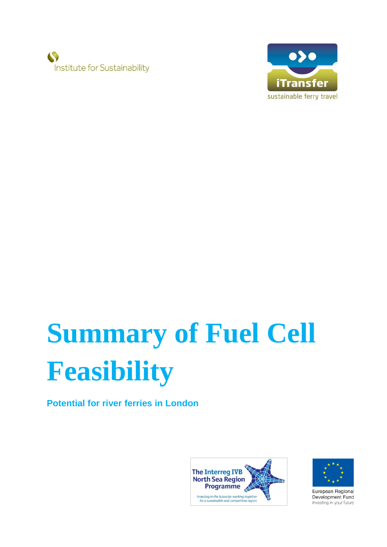



# **Summary of Fuel Cell Feasibility**

**Potential for river ferries in London**





European Regional Development Fund Investing in your future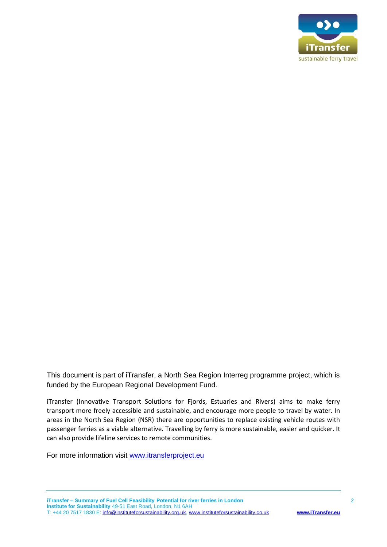

This document is part of iTransfer, a North Sea Region Interreg programme project, which is funded by the European Regional Development Fund.

iTransfer (Innovative Transport Solutions for Fjords, Estuaries and Rivers) aims to make ferry transport more freely accessible and sustainable, and encourage more people to travel by water. In areas in the North Sea Region (NSR) there are opportunities to replace existing vehicle routes with passenger ferries as a viable alternative. Travelling by ferry is more sustainable, easier and quicker. It can also provide lifeline services to remote communities.

For more information visit [www.itransferproject.eu](http://www.itransferproject.eu/)

**iTransfer – Summary of Fuel Cell Feasibility Potential for river ferries in London** 2 **Institute for Sustainability** 49-51 East Road, London, N1 6AH T: +44 20 7517 1830 E: [info@instituteforsustainability.org.uk,](mailto:info@instituteforsustainability.org.uk) [www.instituteforsustainability.co.uk](http://www.instituteforsustainability.co.uk/) **[www.iTransfer.eu](http://www.itransfer.eu/)**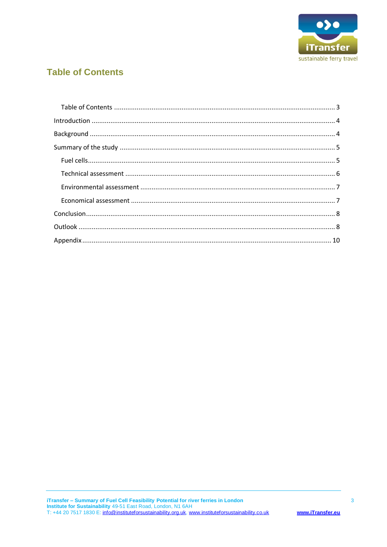

## <span id="page-2-0"></span>**Table of Contents**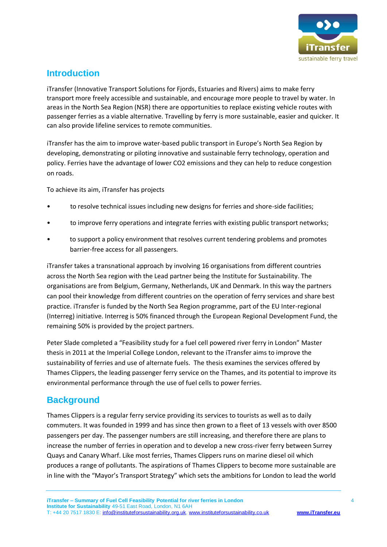

#### <span id="page-3-0"></span>**Introduction**

iTransfer (Innovative Transport Solutions for Fjords, Estuaries and Rivers) aims to make ferry transport more freely accessible and sustainable, and encourage more people to travel by water. In areas in the North Sea Region (NSR) there are opportunities to replace existing vehicle routes with passenger ferries as a viable alternative. Travelling by ferry is more sustainable, easier and quicker. It can also provide lifeline services to remote communities.

iTransfer has the aim to improve water-based public transport in Europe's North Sea Region by developing, demonstrating or piloting innovative and sustainable ferry technology, operation and policy. Ferries have the advantage of lower CO2 emissions and they can help to reduce congestion on roads.

To achieve its aim, iTransfer has projects

- to resolve technical issues including new designs for ferries and shore-side facilities;
- to improve ferry operations and integrate ferries with existing public transport networks;
- to support a policy environment that resolves current tendering problems and promotes barrier-free access for all passengers.

iTransfer takes a transnational approach by involving 16 organisations from different countries across the North Sea region with the Lead partner being the Institute for Sustainability. The organisations are from Belgium, Germany, Netherlands, UK and Denmark. In this way the partners can pool their knowledge from different countries on the operation of ferry services and share best practice. iTransfer is funded by the North Sea Region programme, part of the EU Inter-regional (Interreg) initiative. Interreg is 50% financed through the European Regional Development Fund, the remaining 50% is provided by the project partners.

Peter Slade completed a "Feasibility study for a fuel cell powered river ferry in London" Master thesis in 2011 at the Imperial College London, relevant to the iTransfer aims to improve the sustainability of ferries and use of alternate fuels. The thesis examines the services offered by Thames Clippers, the leading passenger ferry service on the Thames, and its potential to improve its environmental performance through the use of fuel cells to power ferries.

#### <span id="page-3-1"></span>**Background**

Thames Clippers is a regular ferry service providing its services to tourists as well as to daily commuters. It was founded in 1999 and has since then grown to a fleet of 13 vessels with over 8500 passengers per day. The passenger numbers are still increasing, and therefore there are plans to increase the number of ferries in operation and to develop a new cross-river ferry between Surrey Quays and Canary Wharf. Like most ferries, Thames Clippers runs on marine diesel oil which produces a range of pollutants. The aspirations of Thames Clippers to become more sustainable are in line with the "Mayor's Transport Strategy" which sets the ambitions for London to lead the world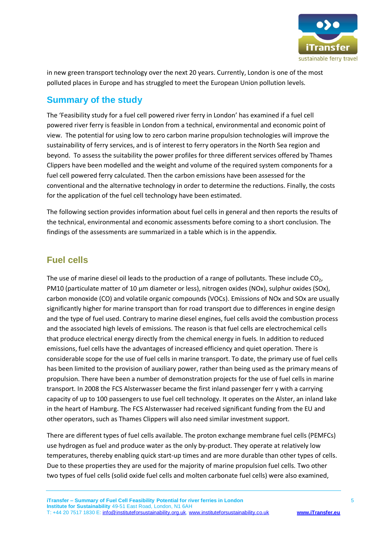

in new green transport technology over the next 20 years. Currently, London is one of the most polluted places in Europe and has struggled to meet the European Union pollution levels.

#### <span id="page-4-0"></span>**Summary of the study**

The 'Feasibility study for a fuel cell powered river ferry in London' has examined if a fuel cell powered river ferry is feasible in London from a technical, environmental and economic point of view. The potential for using low to zero carbon marine propulsion technologies will improve the sustainability of ferry services, and is of interest to ferry operators in the North Sea region and beyond. To assess the suitability the power profiles for three different services offered by Thames Clippers have been modelled and the weight and volume of the required system components for a fuel cell powered ferry calculated. Then the carbon emissions have been assessed for the conventional and the alternative technology in order to determine the reductions. Finally, the costs for the application of the fuel cell technology have been estimated.

The following section provides information about fuel cells in general and then reports the results of the technical, environmental and economic assessments before coming to a short conclusion. The findings of the assessments are summarized in a table which is in the appendix.

#### <span id="page-4-1"></span>**Fuel cells**

The use of marine diesel oil leads to the production of a range of pollutants. These include  $CO<sub>2</sub>$ , PM10 (particulate matter of 10 µm diameter or less), nitrogen oxides (NOx), sulphur oxides (SOx), carbon monoxide (CO) and volatile organic compounds (VOCs). Emissions of NOx and SOx are usually significantly higher for marine transport than for road transport due to differences in engine design and the type of fuel used. Contrary to marine diesel engines, fuel cells avoid the combustion process and the associated high levels of emissions. The reason is that fuel cells are electrochemical cells that produce electrical energy directly from the chemical energy in fuels. In addition to reduced emissions, fuel cells have the advantages of increased efficiency and quiet operation. There is considerable scope for the use of fuel cells in marine transport. To date, the primary use of fuel cells has been limited to the provision of auxiliary power, rather than being used as the primary means of propulsion. There have been a number of demonstration projects for the use of fuel cells in marine transport. In 2008 the FCS Alsterwasser became the first inland passenger ferr y with a carrying capacity of up to 100 passengers to use fuel cell technology. It operates on the Alster, an inland lake in the heart of Hamburg. The FCS Alsterwasser had received significant funding from the EU and other operators, such as Thames Clippers will also need similar investment support.

There are different types of fuel cells available. The proton exchange membrane fuel cells (PEMFCs) use hydrogen as fuel and produce water as the only by-product. They operate at relatively low temperatures, thereby enabling quick start-up times and are more durable than other types of cells. Due to these properties they are used for the majority of marine propulsion fuel cells. Two other two types of fuel cells (solid oxide fuel cells and molten carbonate fuel cells) were also examined,

**iTransfer – Summary of Fuel Cell Feasibility Potential for river ferries in London** 5 **Institute for Sustainability** 49-51 East Road, London, N1 6AH T: +44 20 7517 1830 E: [info@instituteforsustainability.org.uk,](mailto:info@instituteforsustainability.org.uk) [www.instituteforsustainability.co.uk](http://www.instituteforsustainability.co.uk/) **[www.iTransfer.eu](http://www.itransfer.eu/)**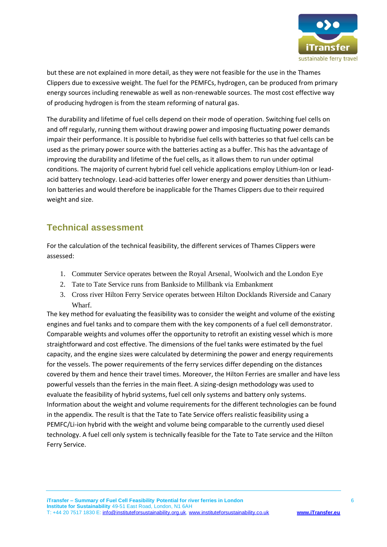

but these are not explained in more detail, as they were not feasible for the use in the Thames Clippers due to excessive weight. The fuel for the PEMFCs, hydrogen, can be produced from primary energy sources including renewable as well as non-renewable sources. The most cost effective way of producing hydrogen is from the steam reforming of natural gas.

The durability and lifetime of fuel cells depend on their mode of operation. Switching fuel cells on and off regularly, running them without drawing power and imposing fluctuating power demands impair their performance. It is possible to hybridise fuel cells with batteries so that fuel cells can be used as the primary power source with the batteries acting as a buffer. This has the advantage of improving the durability and lifetime of the fuel cells, as it allows them to run under optimal conditions. The majority of current hybrid fuel cell vehicle applications employ Lithium-Ion or leadacid battery technology. Lead-acid batteries offer lower energy and power densities than Lithium-Ion batteries and would therefore be inapplicable for the Thames Clippers due to their required weight and size.

#### <span id="page-5-0"></span>**Technical assessment**

For the calculation of the technical feasibility, the different services of Thames Clippers were assessed:

- 1. Commuter Service operates between the Royal Arsenal, Woolwich and the London Eye
- 2. Tate to Tate Service runs from Bankside to Millbank via Embankment
- 3. Cross river Hilton Ferry Service operates between Hilton Docklands Riverside and Canary Wharf.

The key method for evaluating the feasibility was to consider the weight and volume of the existing engines and fuel tanks and to compare them with the key components of a fuel cell demonstrator. Comparable weights and volumes offer the opportunity to retrofit an existing vessel which is more straightforward and cost effective. The dimensions of the fuel tanks were estimated by the fuel capacity, and the engine sizes were calculated by determining the power and energy requirements for the vessels. The power requirements of the ferry services differ depending on the distances covered by them and hence their travel times. Moreover, the Hilton Ferries are smaller and have less powerful vessels than the ferries in the main fleet. A sizing-design methodology was used to evaluate the feasibility of hybrid systems, fuel cell only systems and battery only systems. Information about the weight and volume requirements for the different technologies can be found in the appendix. The result is that the Tate to Tate Service offers realistic feasibility using a PEMFC/Li-ion hybrid with the weight and volume being comparable to the currently used diesel technology. A fuel cell only system is technically feasible for the Tate to Tate service and the Hilton Ferry Service.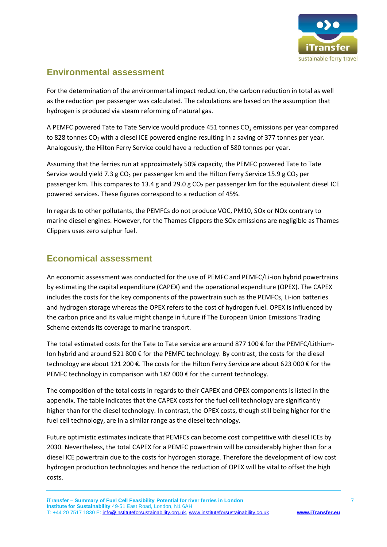

#### <span id="page-6-0"></span>**Environmental assessment**

For the determination of the environmental impact reduction, the carbon reduction in total as well as the reduction per passenger was calculated. The calculations are based on the assumption that hydrogen is produced via steam reforming of natural gas.

A PEMFC powered Tate to Tate Service would produce 451 tonnes CO<sub>2</sub> emissions per year compared to 828 tonnes  $CO<sub>2</sub>$  with a diesel ICE powered engine resulting in a saving of 377 tonnes per year. Analogously, the Hilton Ferry Service could have a reduction of 580 tonnes per year.

Assuming that the ferries run at approximately 50% capacity, the PEMFC powered Tate to Tate Service would yield 7.3 g CO<sub>2</sub> per passenger km and the Hilton Ferry Service 15.9 g CO<sub>2</sub> per passenger km. This compares to 13.4 g and 29.0 g  $CO<sub>2</sub>$  per passenger km for the equivalent diesel ICE powered services. These figures correspond to a reduction of 45%.

In regards to other pollutants, the PEMFCs do not produce VOC, PM10, SOx or NOx contrary to marine diesel engines. However, for the Thames Clippers the SOx emissions are negligible as Thames Clippers uses zero sulphur fuel.

#### <span id="page-6-1"></span>**Economical assessment**

An economic assessment was conducted for the use of PEMFC and PEMFC/Li-ion hybrid powertrains by estimating the capital expenditure (CAPEX) and the operational expenditure (OPEX). The CAPEX includes the costs for the key components of the powertrain such as the PEMFCs, Li-ion batteries and hydrogen storage whereas the OPEX refers to the cost of hydrogen fuel. OPEX is influenced by the carbon price and its value might change in future if The European Union Emissions Trading Scheme extends its coverage to marine transport.

The total estimated costs for the Tate to Tate service are around 877 100 € for the PEMFC/Lithium-Ion hybrid and around 521 800 € for the PEMFC technology. By contrast, the costs for the diesel technology are about 121 200 €. The costs for the Hilton Ferry Service are about 623 000 € for the PEMFC technology in comparison with 182 000 € for the current technology.

The composition of the total costs in regards to their CAPEX and OPEX components is listed in the appendix. The table indicates that the CAPEX costs for the fuel cell technology are significantly higher than for the diesel technology. In contrast, the OPEX costs, though still being higher for the fuel cell technology, are in a similar range as the diesel technology.

Future optimistic estimates indicate that PEMFCs can become cost competitive with diesel ICEs by 2030. Nevertheless, the total CAPEX for a PEMFC powertrain will be considerably higher than for a diesel ICE powertrain due to the costs for hydrogen storage. Therefore the development of low cost hydrogen production technologies and hence the reduction of OPEX will be vital to offset the high costs.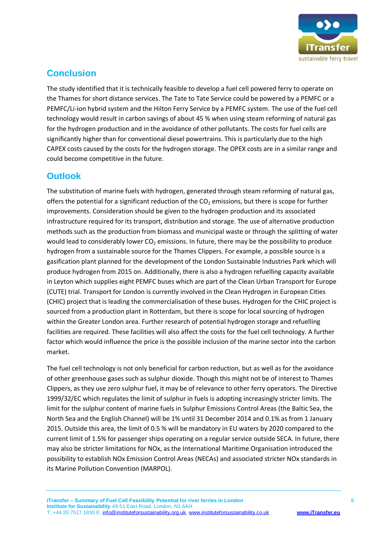

## <span id="page-7-0"></span>**Conclusion**

The study identified that it is technically feasible to develop a fuel cell powered ferry to operate on the Thames for short distance services. The Tate to Tate Service could be powered by a PEMFC or a PEMFC/Li-ion hybrid system and the Hilton Ferry Service by a PEMFC system. The use of the fuel cell technology would result in carbon savings of about 45 % when using steam reforming of natural gas for the hydrogen production and in the avoidance of other pollutants. The costs for fuel cells are significantly higher than for conventional diesel powertrains. This is particularly due to the high CAPEX costs caused by the costs for the hydrogen storage. The OPEX costs are in a similar range and could become competitive in the future.

#### <span id="page-7-1"></span>**Outlook**

The substitution of marine fuels with hydrogen, generated through steam reforming of natural gas, offers the potential for a significant reduction of the  $CO<sub>2</sub>$  emissions, but there is scope for further improvements. Consideration should be given to the hydrogen production and its associated infrastructure required for its transport, distribution and storage. The use of alternative production methods such as the production from biomass and municipal waste or through the splitting of water would lead to considerably lower  $CO<sub>2</sub>$  emissions. In future, there may be the possibility to produce hydrogen from a sustainable source for the Thames Clippers. For example, a possible source is a gasification plant planned for the development of the London Sustainable Industries Park which will produce hydrogen from 2015 on. Additionally, there is also a hydrogen refuelling capacity available in Leyton which supplies eight PEMFC buses which are part of the Clean Urban Transport for Europe (CUTE) trial. Transport for London is currently involved in the Clean Hydrogen in European Cities (CHIC) project that is leading the commercialisation of these buses. Hydrogen for the CHIC project is sourced from a production plant in Rotterdam, but there is scope for local sourcing of hydrogen within the Greater London area. Further research of potential hydrogen storage and refuelling facilities are required. These facilities will also affect the costs for the fuel cell technology. A further factor which would influence the price is the possible inclusion of the marine sector into the carbon market.

The fuel cell technology is not only beneficial for carbon reduction, but as well as for the avoidance of other greenhouse gases such as sulphur dioxide. Though this might not be of interest to Thames Clippers, as they use zero sulphur fuel, it may be of relevance to other ferry operators. The Directive 1999/32/EC which regulates the limit of sulphur in fuels is adopting increasingly stricter limits. The limit for the sulphur content of marine fuels in Sulphur Emissions Control Areas (the Baltic Sea, the North Sea and the English Channel) will be 1% until 31 December 2014 and 0.1% as from 1 January 2015. Outside this area, the limit of 0.5 % will be mandatory in EU waters by 2020 compared to the current limit of 1.5% for passenger ships operating on a regular service outside SECA. In future, there may also be stricter limitations for NOx, as the International Maritime Organisation introduced the possibility to establish NOx Emission Control Areas (NECAs) and associated stricter NOx standards in its Marine Pollution Convention (MARPOL).

**iTransfer – Summary of Fuel Cell Feasibility Potential for river ferries in London** 8 **Institute for Sustainability** 49-51 East Road, London, N1 6AH T: +44 20 7517 1830 E: [info@instituteforsustainability.org.uk,](mailto:info@instituteforsustainability.org.uk) [www.instituteforsustainability.co.uk](http://www.instituteforsustainability.co.uk/) **[www.iTransfer.eu](http://www.itransfer.eu/)**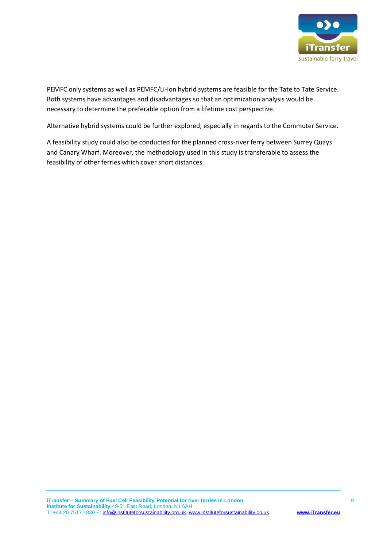

PEMFC only systems as well as PEMFC/Li-ion hybrid systems are feasible for the Tate to Tate Service. Both systems have advantages and disadvantages so that an optimization analysis would be necessary to determine the preferable option from a lifetime cost perspective.

Alternative hybrid systems could be further explored, especially in regards to the Commuter Service.

A feasibility study could also be conducted for the planned cross-river ferry between Surrey Quays and Canary Wharf. Moreover, the methodology used in this study is transferable to assess the feasibility of other ferries which cover short distances.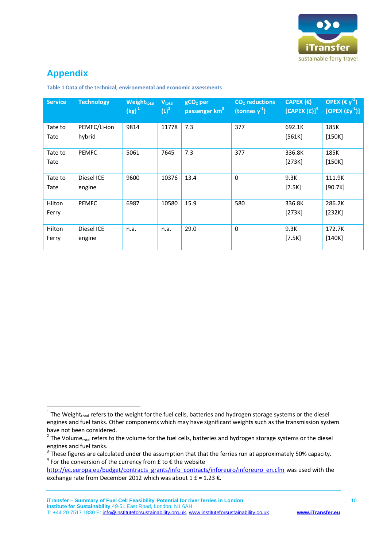

# <span id="page-9-0"></span>**Appendix**

1

| <b>Service</b>  | <b>Technology</b>      | <b>Weighttotal</b><br>$(kg)^1$ | $V_{total}$<br>$(L)^2$ | $gCO2$ per<br>passenger km <sup>3</sup> | $CO2$ reductions<br>(tonnes $y^{-1}$ ) | CAPEX $(\epsilon)$<br>[CAPEX(E)] <sup>4</sup> | OPEX $(\epsilon y^1)$<br>[OPEX $(fy^{-1})$ ] |
|-----------------|------------------------|--------------------------------|------------------------|-----------------------------------------|----------------------------------------|-----------------------------------------------|----------------------------------------------|
| Tate to<br>Tate | PEMFC/Li-ion<br>hybrid | 9814                           | 11778                  | 7.3                                     | 377                                    | 692.1K<br>[561K]                              | 185K<br>[150K]                               |
| Tate to<br>Tate | <b>PEMFC</b>           | 5061                           | 7645                   | 7.3                                     | 377                                    | 336.8K<br>[273K]                              | 185K<br>[150K]                               |
| Tate to<br>Tate | Diesel ICE<br>engine   | 9600                           | 10376                  | 13.4                                    | $\mathbf 0$                            | 9.3K<br>$[7.5K]$                              | 111.9K<br>[90.7K]                            |
| Hilton<br>Ferry | <b>PEMFC</b>           | 6987                           | 10580                  | 15.9                                    | 580                                    | 336.8K<br>[273K]                              | 286.2K<br>[232K]                             |
| Hilton<br>Ferry | Diesel ICE<br>engine   | n.a.                           | n.a.                   | 29.0                                    | $\mathbf 0$                            | 9.3K<br>$[7.5K]$                              | 172.7K<br>[140K]                             |

**Table 1 Data of the technical, environmental and economic assessments**

**iTransfer – Summary of Fuel Cell Feasibility Potential for river ferries in London** 10 **Institute for Sustainability** 49-51 East Road, London, N1 6AH T: +44 20 7517 1830 E: [info@instituteforsustainability.org.uk,](mailto:info@instituteforsustainability.org.uk) [www.instituteforsustainability.co.uk](http://www.instituteforsustainability.co.uk/) **[www.iTransfer.eu](http://www.itransfer.eu/)**

 $1$  The Weight<sub>total</sub> refers to the weight for the fuel cells, batteries and hydrogen storage systems or the diesel engines and fuel tanks. Other components which may have significant weights such as the transmission system have not been considered.

<sup>&</sup>lt;sup>2</sup> The Volume<sub>total</sub> refers to the volume for the fuel cells, batteries and hydrogen storage systems or the diesel engines and fuel tanks.

 $3$  These figures are calculated under the assumption that that the ferries run at approximately 50% capacity.  $4$  For the conversion of the currency from £ to  $\epsilon$  the website

[http://ec.europa.eu/budget/contracts\\_grants/info\\_contracts/inforeuro/inforeuro\\_en.cfm](http://ec.europa.eu/budget/contracts_grants/info_contracts/inforeuro/inforeuro_en.cfm) was used with the exchange rate from December 2012 which was about  $1 \text{ f} = 1.23 \text{ } \epsilon$ .